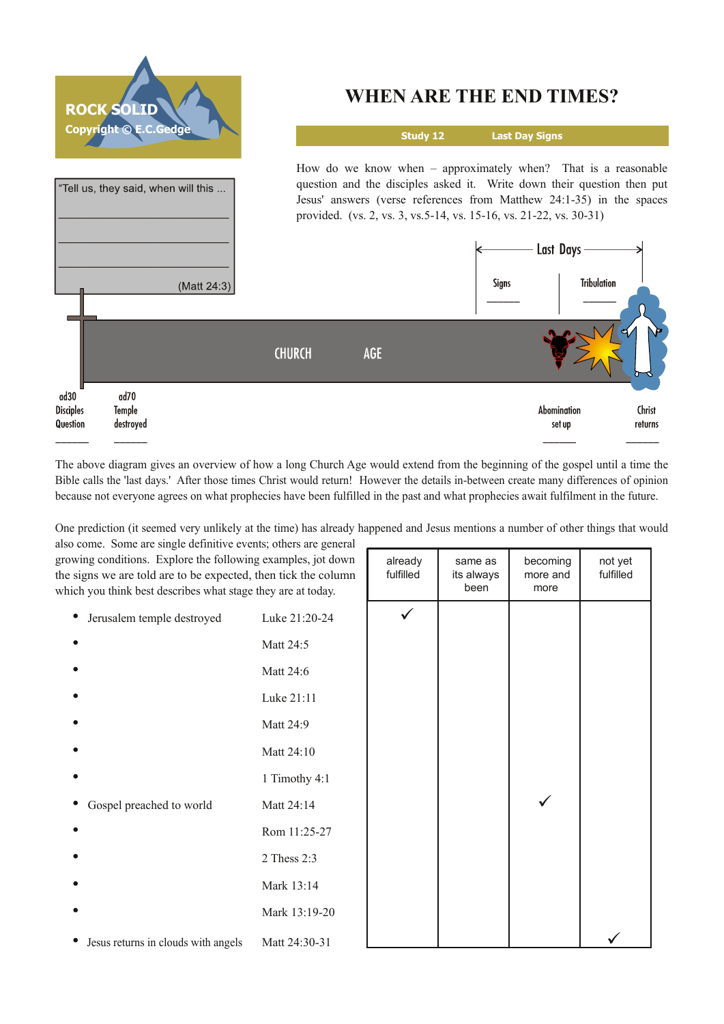

The above diagram gives an overview of how a long Church Age would extend from the beginning of the gospel until a time the Bible calls the 'last days.' After those times Christ would return! However the details inbetween create many differences of opinion because not everyone agrees on what prophecies have been fulfilled in the past and what prophecies await fulfilment in the future.

One prediction (it seemed very unlikely at the time) has already happened and Jesus mentions a number of other things that would

already same as becoming not yet fulfilled its always | more and | fulfilled

also come. Some are single definitive events; others are general growing conditions. Explore the following examples, jot down the signs we are told are to be expected, then tick the column which you think best describes what stage they are at today.

| ich you think best describes what stage they are at today. |               | been | more |  |
|------------------------------------------------------------|---------------|------|------|--|
| Jerusalem temple destroyed<br>$\bullet$                    | Luke 21:20-24 |      |      |  |
|                                                            | Matt 24:5     |      |      |  |
|                                                            | Matt 24:6     |      |      |  |
|                                                            | Luke 21:11    |      |      |  |
|                                                            | Matt 24:9     |      |      |  |
|                                                            | Matt 24:10    |      |      |  |
|                                                            | 1 Timothy 4:1 |      |      |  |
| Gospel preached to world                                   | Matt 24:14    |      |      |  |
|                                                            | Rom 11:25-27  |      |      |  |
|                                                            | 2 Thess 2:3   |      |      |  |
|                                                            | Mark 13:14    |      |      |  |
|                                                            | Mark 13:19-20 |      |      |  |
| Jesus returns in clouds with angels                        | Matt 24:30-31 |      |      |  |